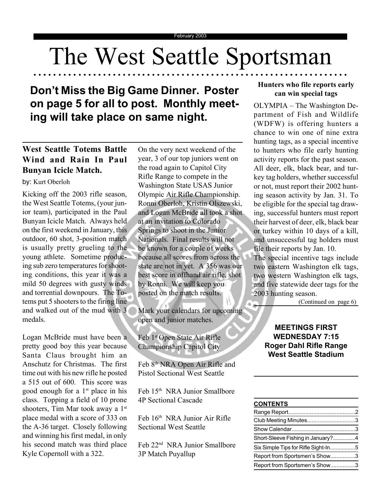## The West Seattle Sportsman

○○○○○○○○○ ○○○○○○○○○○○○○○○○○○○○○○○○○○○○○○○○○○○○○○○○○○○○○○○○○○○○○○○

## **Don't Miss the Big Game Dinner. Poster on page 5 for all to post. Monthly meeting will take place on same night.**

### **West Seattle Totems Battle Wind and Rain In Paul Bunyan Icicle Match.**

Kicking off the 2003 rifle season, the West Seattle Totems, (your junior team), participated in the Paul Bunyan Icicle Match. Always held on the first weekend in January, this outdoor, 60 shot, 3-position match is usually pretty grueling to the young athlete. Sometime producing sub zero temperatures for shooting conditions, this year it was a mild 50 degrees with gusty winds and torrential downpours. The Totems put 5 shooters to the firing line and walked out of the mud with 3 medals.

Logan McBride must have been a pretty good boy this year because Santa Claus brought him an Anschutz for Christmas. The first time out with his new rifle he posted a 515 out of 600. This score was good enough for a  $1<sup>st</sup>$  place in his class. Topping a field of 10 prone shooters, Tim Mar took away a 1<sup>st</sup> place medal with a score of 333 on the A-36 target. Closely following and winning his first medal, in only his second match was third place Kyle Copernoll with a 322.

Olympic Air Rifle Championship. Ronni Oberloh, Kristin Olszewski, and Logan McBride all took a shot at an invitation to Colorado Springs to shoot in the Junior Nationals. Final results will not be known for a couple of weeks because all scores from across the state are not in yet. A 356 was our best score in offhand air rifle, shot by Ronni. We will keep you posted on the match results. On the very next weekend of the year, 3 of our top juniors went on the road again to Capitol City Rifle Range to compete in the by: Kurt Oberloh Washington State USAS Junior

> Mark your calendars for upcoming open and junior matches.

Feb 1st Open State Air Rifle Championship Capitol City

Feb 8<sup>th</sup> NRA Open Air Rifle and Pistol Sectional West Seattle

Feb 15th NRA Junior Smallbore 4P Sectional Cascade

Feb 16th NRA Junior Air Rifle Sectional West Seattle

Feb 22nd NRA Junior Smallbore 3P Match Puyallup

#### **Hunters who file reports early can win special tags**

OLYMPIA – The Washington Department of Fish and Wildlife (WDFW) is offering hunters a chance to win one of nine extra hunting tags, as a special incentive to hunters who file early hunting activity reports for the past season. All deer, elk, black bear, and turkey tag holders, whether successful or not, must report their 2002 hunting season activity by Jan. 31. To be eligible for the special tag drawing, successful hunters must report their harvest of deer, elk, black bear or turkey within 10 days of a kill, and unsuccessful tag holders must file their reports by Jan. 10.

The special incentive tags include two eastern Washington elk tags, two western Washington elk tags, and five statewide deer tags for the 2003 hunting season.

(Continued on page 6)

#### **MEETINGS FIRST WEDNESDAY 7:15 Roger Dahl Rifle Range West Seattle Stadium**

#### **CONTENTS**

| Club Meeting Minutes3               |  |
|-------------------------------------|--|
|                                     |  |
| Short-Sleeve Fishing in January?4   |  |
| Six Simple Tips for Rifle Sight-In5 |  |
| Report from Sportsmen's Show3       |  |
| Report from Sportsmen's Show3       |  |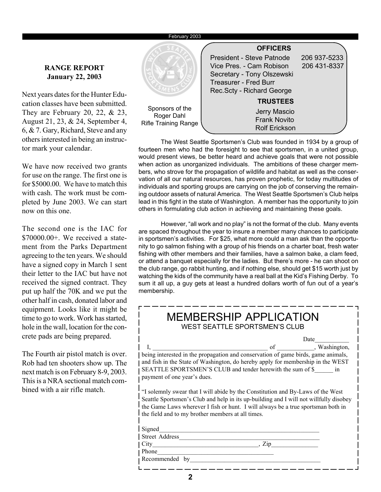#### February 2003

#### **RANGE REPORT January 22, 2003**

Next years dates for the Hunter Education classes have been submitted. They are February 20, 22,  $& 23$ , August 21, 23, & 24, September 4, 6, & 7. Gary, Richard, Steve and any others interested in being an instructor mark your calendar.

We have now received two grants for use on the range. The first one is for \$5000.00. We have to match this with cash. The work must be completed by June 2003. We can start now on this one.

The second one is the IAC for \$70000.00+. We received a statement from the Parks Department agreeing to the ten years. We should have a signed copy in March 1 sent their letter to the IAC but have not received the signed contract. They put up half the 70K and we put the other half in cash, donated labor and equipment. Looks like it might be time to go to work. Work has started, hole in the wall, location for the concrete pads are being prepared.

The Fourth air pistol match is over. Rob had ten shooters show up. The next match is on February 8-9, 2003. This is a NRA sectional match combined with a air rifle match.



The West Seattle Sportsmen's Club was founded in 1934 by a group of fourteen men who had the foresight to see that sportsmen, in a united group, would present views, be better heard and achieve goals that were not possible when action as unorganized individuals. The ambitions of these charger members, who strove for the propagation of wildlife and habitat as well as the conservation of all our natural resources, has proven prophetic, for today multitudes of individuals and sporting groups are carrying on the job of conserving the remaining outdoor assets of natural America. The West Seattle Sportsmen's Club helps lead in this fight in the state of Washington. A member has the opportunity to join others in formulating club action in achieving and maintaining these goals.

However, "all work and no play" is not the format of the club. Many events are spaced throughout the year to insure a member many chances to participate in sportsmen's activities. For \$25, what more could a man ask than the opportunity to go salmon fishing with a group of his friends on a charter boat, fresh water fishing with other members and their families, have a salmon bake, a clam feed, or attend a banquet especially for the ladies. But there's more - he can shoot on the club range, go rabbit hunting, and if nothing else, should get \$15 worth just by watching the kids of the community have a real ball at the Kid's Fishing Derby. To sum it all up, a guy gets at least a hundred dollars worth of fun out of a year's membership.

| <b>MEMBERSHIP APPLICATION</b><br>WEST SEATTLE SPORTSMEN'S CLUB                                                                                                                                                                                                                                                    |  |
|-------------------------------------------------------------------------------------------------------------------------------------------------------------------------------------------------------------------------------------------------------------------------------------------------------------------|--|
| Date                                                                                                                                                                                                                                                                                                              |  |
| I, I, University of Termin and Conservation of game birds, game animals,                                                                                                                                                                                                                                          |  |
|                                                                                                                                                                                                                                                                                                                   |  |
| and fish in the State of Washington, do hereby apply for membership in the WEST                                                                                                                                                                                                                                   |  |
| SEATTLE SPORTSMEN'S CLUB and tender herewith the sum of \$ in                                                                                                                                                                                                                                                     |  |
| payment of one year's dues.                                                                                                                                                                                                                                                                                       |  |
| "I solemnly swear that I will abide by the Constitution and By-Laws of the West<br>Seattle Sportsmen's Club and help in its up-building and I will not willfully disobey<br>the Game Laws wherever I fish or hunt. I will always be a true sportsman both in<br>the field and to my brother members at all times. |  |
| Signed                                                                                                                                                                                                                                                                                                            |  |
| Street Address                                                                                                                                                                                                                                                                                                    |  |
| $City$ and $f$ and $f$ and $f$ and $f$ and $f$ and $f$ and $f$ and $f$ and $f$ and $f$ and $f$ and $f$ and $f$ and $f$ and $f$ and $f$ and $f$ and $f$ and $f$ and $f$ and $f$ and $f$ and $f$ and $f$ and $f$ and $f$ and $f$ a<br>. $Zip$                                                                       |  |
| Phone<br>the control of the control of the control of the control of the control of                                                                                                                                                                                                                               |  |
| Recommended by                                                                                                                                                                                                                                                                                                    |  |
|                                                                                                                                                                                                                                                                                                                   |  |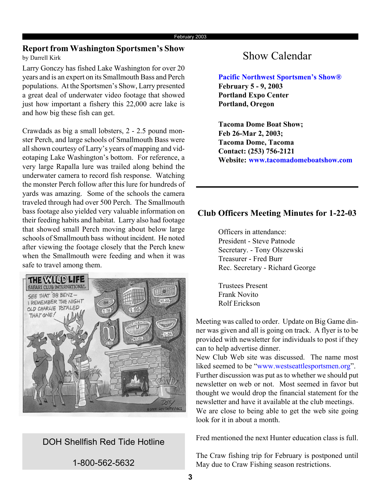#### **Report from Washington Sportsmen's Show**<br>by Darrell Kirk<br>**Show Calendar** by Darrell Kirk

Larry Gonczy has fished Lake Washington for over 20 years and is an expert on its Smallmouth Bass and Perch populations. At the Sportsmen's Show, Larry presented a great deal of underwater video footage that showed just how important a fishery this 22,000 acre lake is and how big these fish can get.

Crawdads as big a small lobsters, 2 - 2.5 pound monster Perch, and large schools of Smallmouth Bass were all shown courtesy of Larry's years of mapping and videotaping Lake Washington's bottom. For reference, a very large Rapalla lure was trailed along behind the underwater camera to record fish response. Watching the monster Perch follow after this lure for hundreds of yards was amazing. Some of the schools the camera traveled through had over 500 Perch. The Smallmouth bass footage also yielded very valuable information on their feeding habits and habitat. Larry also had footage that showed small Perch moving about below large schools of Smallmouth bass without incident. He noted after viewing the footage closely that the Perch knew when the Smallmouth were feeding and when it was safe to travel among them.



DOH Shellfish Red Tide Hotline

1-800-562-5632

**Pacific Northwest Sportsmen's Show® February 5 - 9, 2003 Portland Expo Center Portland, Oregon**

**Tacoma Dome Boat Show; Feb 26-Mar 2, 2003; Tacoma Dome, Tacoma Contact: (253) 756-2121 Website: www.tacomadomeboatshow.com**

#### **Club Officers Meeting Minutes for 1-22-03**

Officers in attendance: President - Steve Patnode Secretary. - Tony Olszewski Treasurer - Fred Burr Rec. Secretary - Richard George

Trustees Present Frank Novito Rolf Erickson

Meeting was called to order. Update on Big Game dinner was given and all is going on track. A flyer is to be provided with newsletter for individuals to post if they can to help advertise dinner.

New Club Web site was discussed. The name most liked seemed to be "www.westseattlesportsmen.org". Further discussion was put as to whether we should put newsletter on web or not. Most seemed in favor but thought we would drop the financial statement for the newsletter and have it available at the club meetings. We are close to being able to get the web site going look for it in about a month.

Fred mentioned the next Hunter education class is full.

The Craw fishing trip for February is postponed until May due to Craw Fishing season restrictions.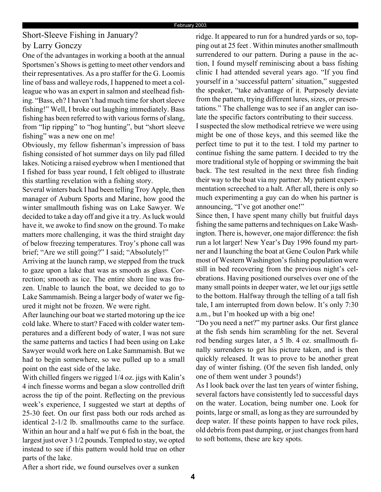### Short-Sleeve Fishing in January? by Larry Gonczy

One of the advantages in working a booth at the annual Sportsmen's Shows is getting to meet other vendors and their representatives. As a pro staffer for the G. Loomis line of bass and walleye rods, I happened to meet a colleague who was an expert in salmon and steelhead fishing. "Bass, eh? I haven't had much time for short sleeve fishing!" Well, I broke out laughing immediately. Bass fishing has been referred to with various forms of slang, from "lip ripping" to "hog hunting", but "short sleeve fishing" was a new one on me!

Obviously, my fellow fisherman's impression of bass fishing consisted of hot summer days on lily pad filled lakes. Noticing a raised eyebrow when I mentioned that I fished for bass year round, I felt obliged to illustrate this startling revelation with a fishing story.

Several winters back I had been telling Troy Apple, then manager of Auburn Sports and Marine, how good the winter smallmouth fishing was on Lake Sawyer. We decided to take a day off and give it a try. As luck would have it, we awoke to find snow on the ground. To make matters more challenging, it was the third straight day of below freezing temperatures. Troy's phone call was brief; "Are we still going?" I said; "Absolutely!"

Arriving at the launch ramp, we stepped from the truck to gaze upon a lake that was as smooth as glass. Correction; smooth as ice. The entire shore line was frozen. Unable to launch the boat, we decided to go to Lake Sammamish. Being a larger body of water we figured it might not be frozen. We were right.

After launching our boat we started motoring up the ice cold lake. Where to start? Faced with colder water temperatures and a different body of water, I was not sure the same patterns and tactics I had been using on Lake Sawyer would work here on Lake Sammamish. But we had to begin somewhere, so we pulled up to a small point on the east side of the lake.

With chilled fingers we rigged 1/4 oz. jigs with Kalin's 4 inch finesse worms and began a slow controlled drift across the tip of the point. Reflecting on the previous week's experience, I suggested we start at depths of 25-30 feet. On our first pass both our rods arched as identical 2-1/2 lb. smallmouths came to the surface. Within an hour and a half we put 6 fish in the boat, the largest just over 3 1/2 pounds. Tempted to stay, we opted instead to see if this pattern would hold true on other parts of the lake.

ridge. It appeared to run for a hundred yards or so, topping out at 25 feet . Within minutes another smallmouth surrendered to our pattern. During a pause in the action, I found myself reminiscing about a bass fishing clinic I had attended several years ago. "If you find yourself in a 'successful pattern' situation," suggested the speaker, "take advantage of it. Purposely deviate from the pattern, trying different lures, sizes, or presentations." The challenge was to see if an angler can isolate the specific factors contributing to their success.

I suspected the slow methodical retrieve we were using might be one of those keys, and this seemed like the perfect time to put it to the test. I told my partner to continue fishing the same pattern. I decided to try the more traditional style of hopping or swimming the bait back. The test resulted in the next three fish finding their way to the boat via my partner. My patient experimentation screeched to a halt. After all, there is only so much experimenting a guy can do when his partner is announcing, "I've got another one!"

Since then, I have spent many chilly but fruitful days fishing the same patterns and techniques on Lake Washington. There is, however, one major difference: the fish run a lot larger! New Year's Day 1996 found my partner and I launching the boat at Gene Coulon Park while most of Western Washington's fishing population were still in bed recovering from the previous night's celebrations. Having positioned ourselves over one of the many small points in deeper water, we let our jigs settle to the bottom. Halfway through the telling of a tall fish tale, I am interrupted from down below. It's only 7:30 a.m., but I'm hooked up with a big one!

"Do you need a net?" my partner asks. Our first glance at the fish sends him scrambling for the net. Several rod bending surges later, a 5 lb. 4 oz. smallmouth finally surrenders to get his picture taken, and is then quickly released. It was to prove to be another great day of winter fishing. (Of the seven fish landed, only one of them went under 3 pounds!)

As I look back over the last ten years of winter fishing, several factors have consistently led to successful days on the water. Location, being number one. Look for points, large or small, as long as they are surrounded by deep water. If these points happen to have rock piles, old debris from past dumping, or just changes from hard to soft bottoms, these are key spots.

After a short ride, we found ourselves over a sunken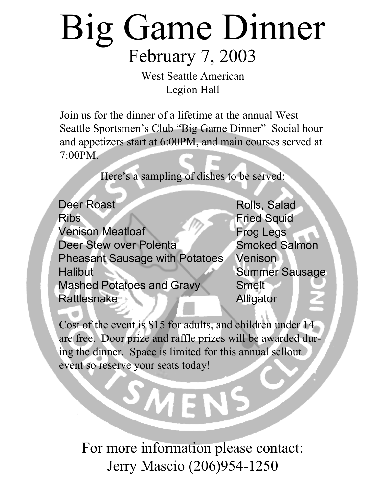# Big Game Dinner February 7, 2003

West Seattle American Legion Hall

Join us for the dinner of a lifetime at the annual West Seattle Sportsmen's Club "Big Game Dinner" Social hour and appetizers start at 6:00PM, and main courses served at 7:00PM.

Here's a sampling of dishes to be served:

Deer Roast Ribs Venison Meatloaf Deer Stew over Polenta Pheasant Sausage with Potatoes **Halibut** Mashed Potatoes and Gravy Rattlesnake

Rolls, Salad Fried Squid Frog Legs Smoked Salmon **Venison** Summer Sausage Smelt Alligator

Cost of the event is \$15 for adults, and children under 14 are free. Door prize and raffle prizes will be awarded during the dinner. Space is limited for this annual sellout event so reserve your seats today!

For more information please contact: Jerry Mascio (206)954-1250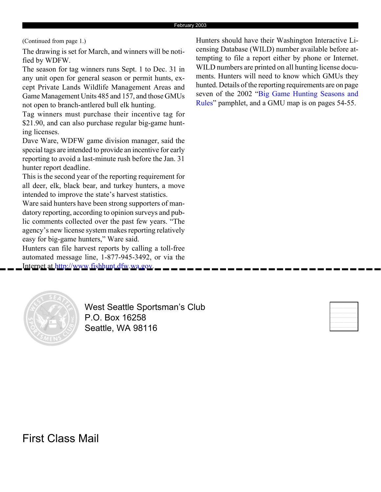(Continued from page 1.)

The drawing is set for March, and winners will be notified by WDFW.

The season for tag winners runs Sept. 1 to Dec. 31 in any unit open for general season or permit hunts, except Private Lands Wildlife Management Areas and Game Management Units 485 and 157, and those GMUs not open to branch-antlered bull elk hunting.

Tag winners must purchase their incentive tag for \$21.90, and can also purchase regular big-game hunting licenses.

Dave Ware, WDFW game division manager, said the special tags are intended to provide an incentive for early reporting to avoid a last-minute rush before the Jan. 31 hunter report deadline.

This is the second year of the reporting requirement for all deer, elk, black bear, and turkey hunters, a move intended to improve the state's harvest statistics.

Ware said hunters have been strong supporters of mandatory reporting, according to opinion surveys and public comments collected over the past few years. "The agency's new license system makes reporting relatively easy for big-game hunters," Ware said.

Hunters can file harvest reports by calling a toll-free automated message line, 1-877-945-3492, or via the Internet at http://www.fishhunt.dfw.wa.gov.

Hunters should have their Washington Interactive Licensing Database (WILD) number available before attempting to file a report either by phone or Internet. WILD numbers are printed on all hunting license documents. Hunters will need to know which GMUs they hunted. Details of the reporting requirements are on page seven of the 2002 "Big Game Hunting Seasons and Rules" pamphlet, and a GMU map is on pages 54-55.



West Seattle Sportsman's Club P.O. Box 16258 Seattle, WA 98116



First Class Mail